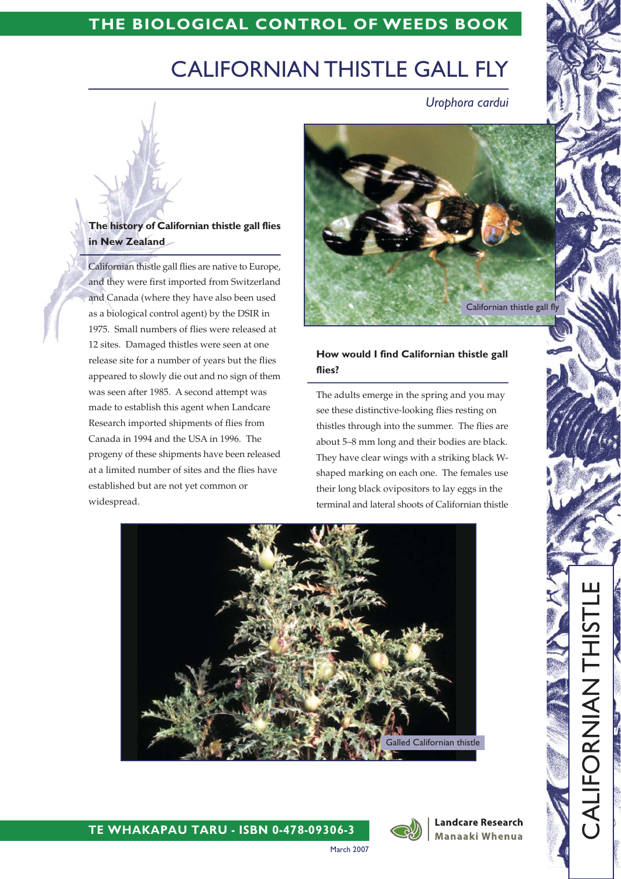# THE BIOLOGICAL CONTROL OF WEEDS BOOK

# **CALIFORNIAN THISTLE GALL FLY**

Urophora cardui

# The history of Californian thistle gall flies in New Zealand

Californian thistle gall flies are native to Europe, and they were first imported from Switzerland and Canada (where they have also been used as a biological control agent) by the DSIR in 1975. Small numbers of flies were released at 12 sites. Damaged thistles were seen at one release site for a number of years but the flies appeared to slowly die out and no sign of them was seen after 1985. A second attempt was made to establish this agent when Landcare Research imported shipments of flies from Canada in 1994 and the USA in 1996. The progeny of these shipments have been released at a limited number of sites and the flies have established but are not yet common or widespread.



### How would I find Californian thistle gall flies?

The adults emerge in the spring and you may see these distinctive-looking flies resting on thistles through into the summer. The flies are about 5-8 mm long and their bodies are black. They have clear wings with a striking black Wshaped marking on each one. The females use their long black ovipositors to lay eggs in the terminal and lateral shoots of Californian thistle



TE WHAKAPAU TARU - ISBN 0-478-09306-3



**Landcare Research** Manaaki Whenua

**HAVINGOLING** 

March 2007